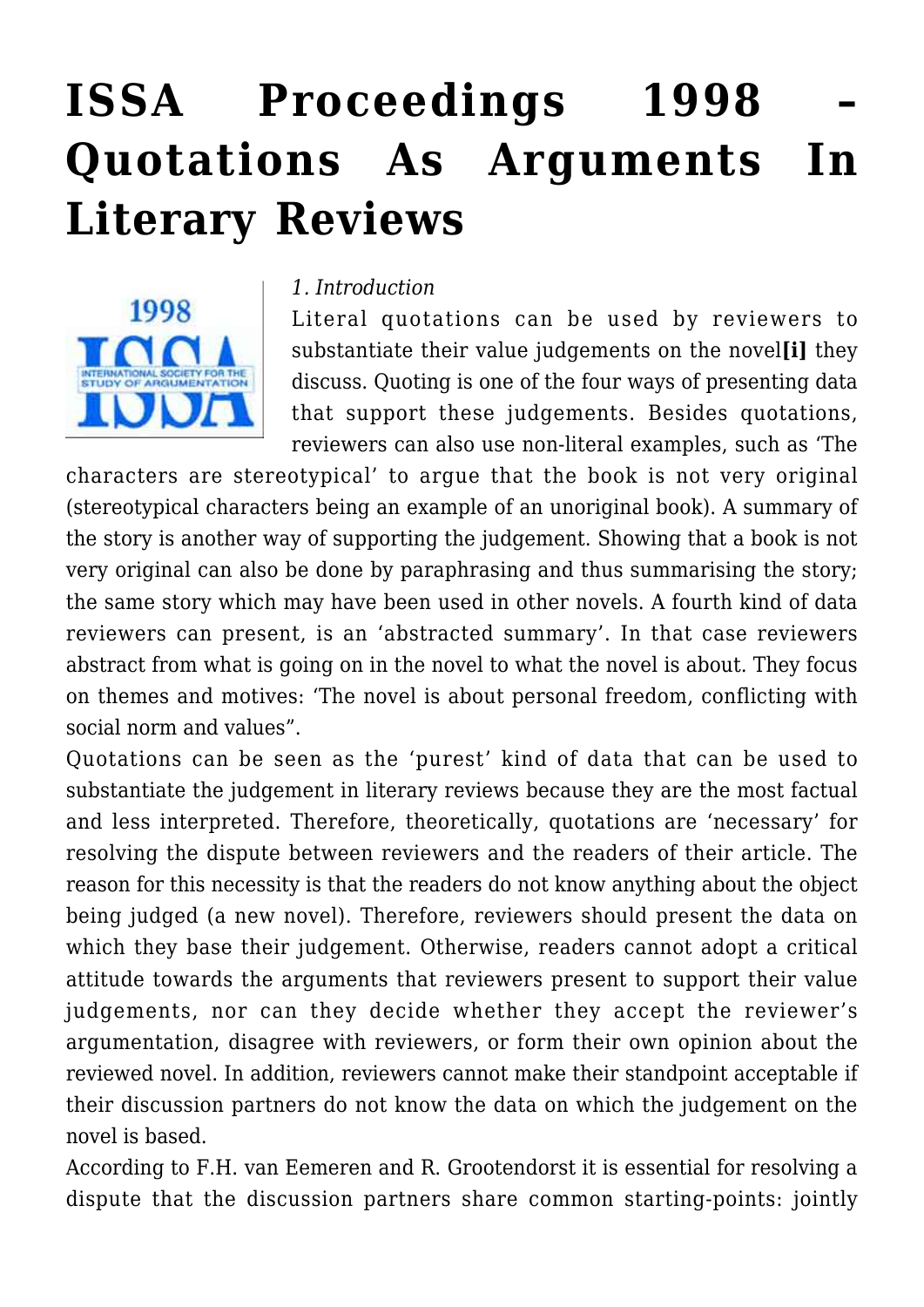# **[ISSA Proceedings 1998 –](https://rozenbergquarterly.com/issa-proceedings-1998-quotations-as-arguments-in-literary-reviews/) [Quotations As Arguments In](https://rozenbergquarterly.com/issa-proceedings-1998-quotations-as-arguments-in-literary-reviews/) [Literary Reviews](https://rozenbergquarterly.com/issa-proceedings-1998-quotations-as-arguments-in-literary-reviews/)**



#### *1. Introduction*

Literal quotations can be used by reviewers to substantiate their value judgements on the novel**[i]** they discuss. Quoting is one of the four ways of presenting data that support these judgements. Besides quotations, reviewers can also use non-literal examples, such as 'The

characters are stereotypical' to argue that the book is not very original (stereotypical characters being an example of an unoriginal book). A summary of the story is another way of supporting the judgement. Showing that a book is not very original can also be done by paraphrasing and thus summarising the story; the same story which may have been used in other novels. A fourth kind of data reviewers can present, is an 'abstracted summary'. In that case reviewers abstract from what is going on in the novel to what the novel is about. They focus on themes and motives: 'The novel is about personal freedom, conflicting with social norm and values".

Quotations can be seen as the 'purest' kind of data that can be used to substantiate the judgement in literary reviews because they are the most factual and less interpreted. Therefore, theoretically, quotations are 'necessary' for resolving the dispute between reviewers and the readers of their article. The reason for this necessity is that the readers do not know anything about the object being judged (a new novel). Therefore, reviewers should present the data on which they base their judgement. Otherwise, readers cannot adopt a critical attitude towards the arguments that reviewers present to support their value judgements, nor can they decide whether they accept the reviewer's argumentation, disagree with reviewers, or form their own opinion about the reviewed novel. In addition, reviewers cannot make their standpoint acceptable if their discussion partners do not know the data on which the judgement on the novel is based.

According to F.H. van Eemeren and R. Grootendorst it is essential for resolving a dispute that the discussion partners share common starting-points: jointly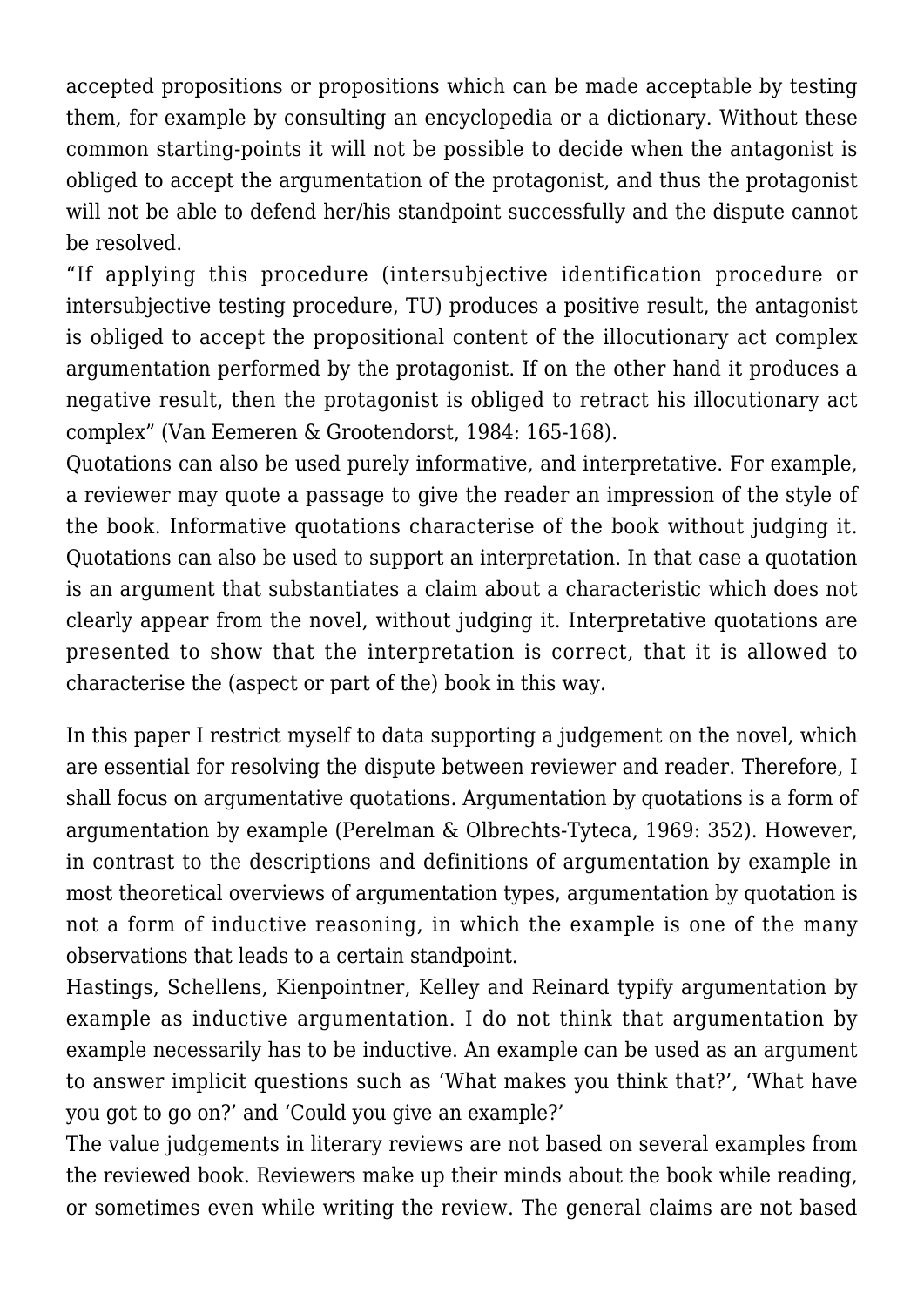accepted propositions or propositions which can be made acceptable by testing them, for example by consulting an encyclopedia or a dictionary. Without these common starting-points it will not be possible to decide when the antagonist is obliged to accept the argumentation of the protagonist, and thus the protagonist will not be able to defend her/his standpoint successfully and the dispute cannot be resolved.

"If applying this procedure (intersubjective identification procedure or intersubjective testing procedure, TU) produces a positive result, the antagonist is obliged to accept the propositional content of the illocutionary act complex argumentation performed by the protagonist. If on the other hand it produces a negative result, then the protagonist is obliged to retract his illocutionary act complex" (Van Eemeren & Grootendorst, 1984: 165-168).

Quotations can also be used purely informative, and interpretative. For example, a reviewer may quote a passage to give the reader an impression of the style of the book. Informative quotations characterise of the book without judging it. Quotations can also be used to support an interpretation. In that case a quotation is an argument that substantiates a claim about a characteristic which does not clearly appear from the novel, without judging it. Interpretative quotations are presented to show that the interpretation is correct, that it is allowed to characterise the (aspect or part of the) book in this way.

In this paper I restrict myself to data supporting a judgement on the novel, which are essential for resolving the dispute between reviewer and reader. Therefore, I shall focus on argumentative quotations. Argumentation by quotations is a form of argumentation by example (Perelman & Olbrechts-Tyteca, 1969: 352). However, in contrast to the descriptions and definitions of argumentation by example in most theoretical overviews of argumentation types, argumentation by quotation is not a form of inductive reasoning, in which the example is one of the many observations that leads to a certain standpoint.

Hastings, Schellens, Kienpointner, Kelley and Reinard typify argumentation by example as inductive argumentation. I do not think that argumentation by example necessarily has to be inductive. An example can be used as an argument to answer implicit questions such as 'What makes you think that?', 'What have you got to go on?' and 'Could you give an example?'

The value judgements in literary reviews are not based on several examples from the reviewed book. Reviewers make up their minds about the book while reading, or sometimes even while writing the review. The general claims are not based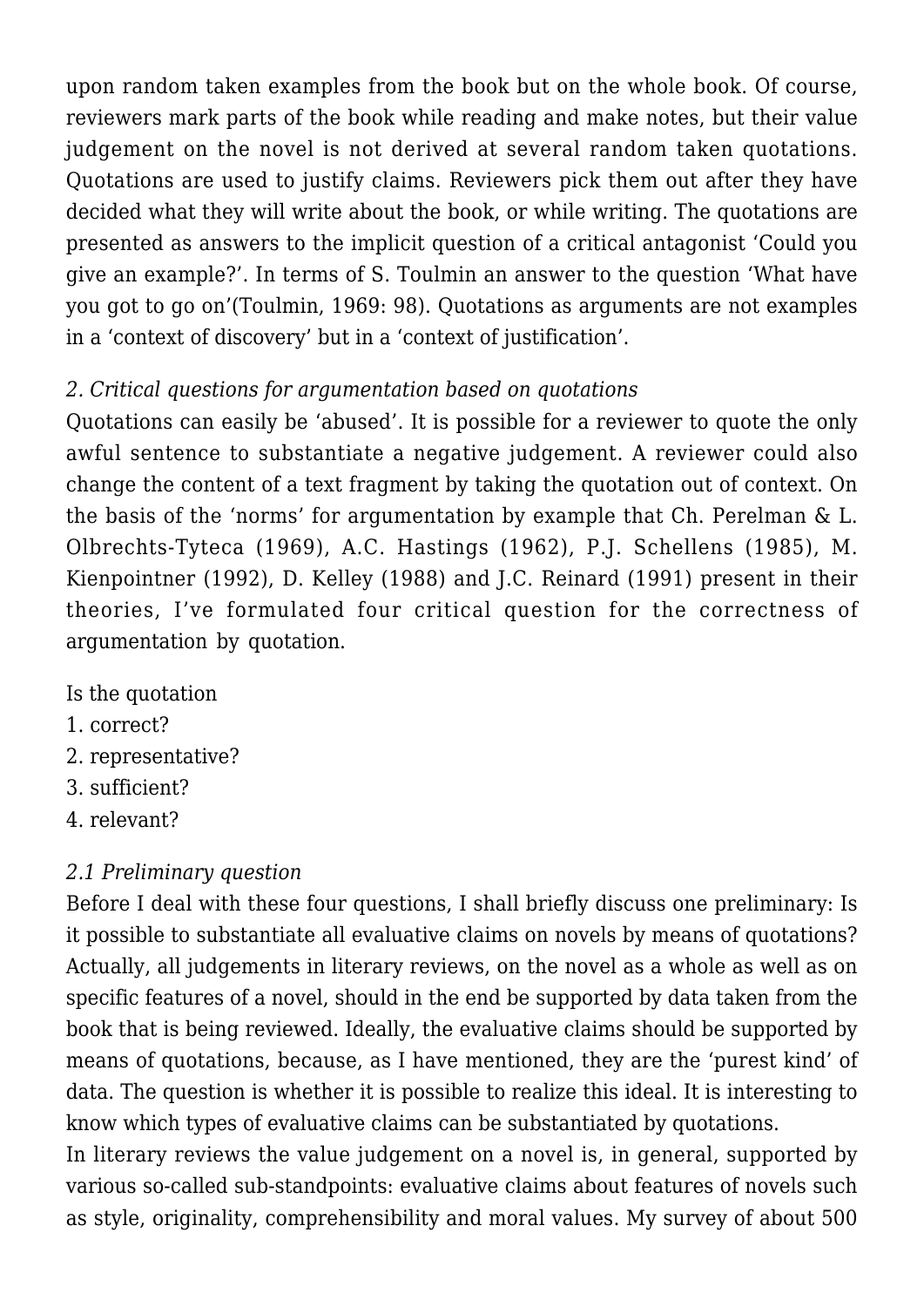upon random taken examples from the book but on the whole book. Of course, reviewers mark parts of the book while reading and make notes, but their value judgement on the novel is not derived at several random taken quotations. Quotations are used to justify claims. Reviewers pick them out after they have decided what they will write about the book, or while writing. The quotations are presented as answers to the implicit question of a critical antagonist 'Could you give an example?'. In terms of S. Toulmin an answer to the question 'What have you got to go on'(Toulmin, 1969: 98). Quotations as arguments are not examples in a 'context of discovery' but in a 'context of justification'.

# *2. Critical questions for argumentation based on quotations*

Quotations can easily be 'abused'. It is possible for a reviewer to quote the only awful sentence to substantiate a negative judgement. A reviewer could also change the content of a text fragment by taking the quotation out of context. On the basis of the 'norms' for argumentation by example that Ch. Perelman & L. Olbrechts-Tyteca (1969), A.C. Hastings (1962), P.J. Schellens (1985), M. Kienpointner (1992), D. Kelley (1988) and J.C. Reinard (1991) present in their theories, I've formulated four critical question for the correctness of argumentation by quotation.

- Is the quotation
- 1. correct?
- 2. representative?
- 3. sufficient?
- 4. relevant?

# *2.1 Preliminary question*

Before I deal with these four questions, I shall briefly discuss one preliminary: Is it possible to substantiate all evaluative claims on novels by means of quotations? Actually, all judgements in literary reviews, on the novel as a whole as well as on specific features of a novel, should in the end be supported by data taken from the book that is being reviewed. Ideally, the evaluative claims should be supported by means of quotations, because, as I have mentioned, they are the 'purest kind' of data. The question is whether it is possible to realize this ideal. It is interesting to know which types of evaluative claims can be substantiated by quotations.

In literary reviews the value judgement on a novel is, in general, supported by various so-called sub-standpoints: evaluative claims about features of novels such as style, originality, comprehensibility and moral values. My survey of about 500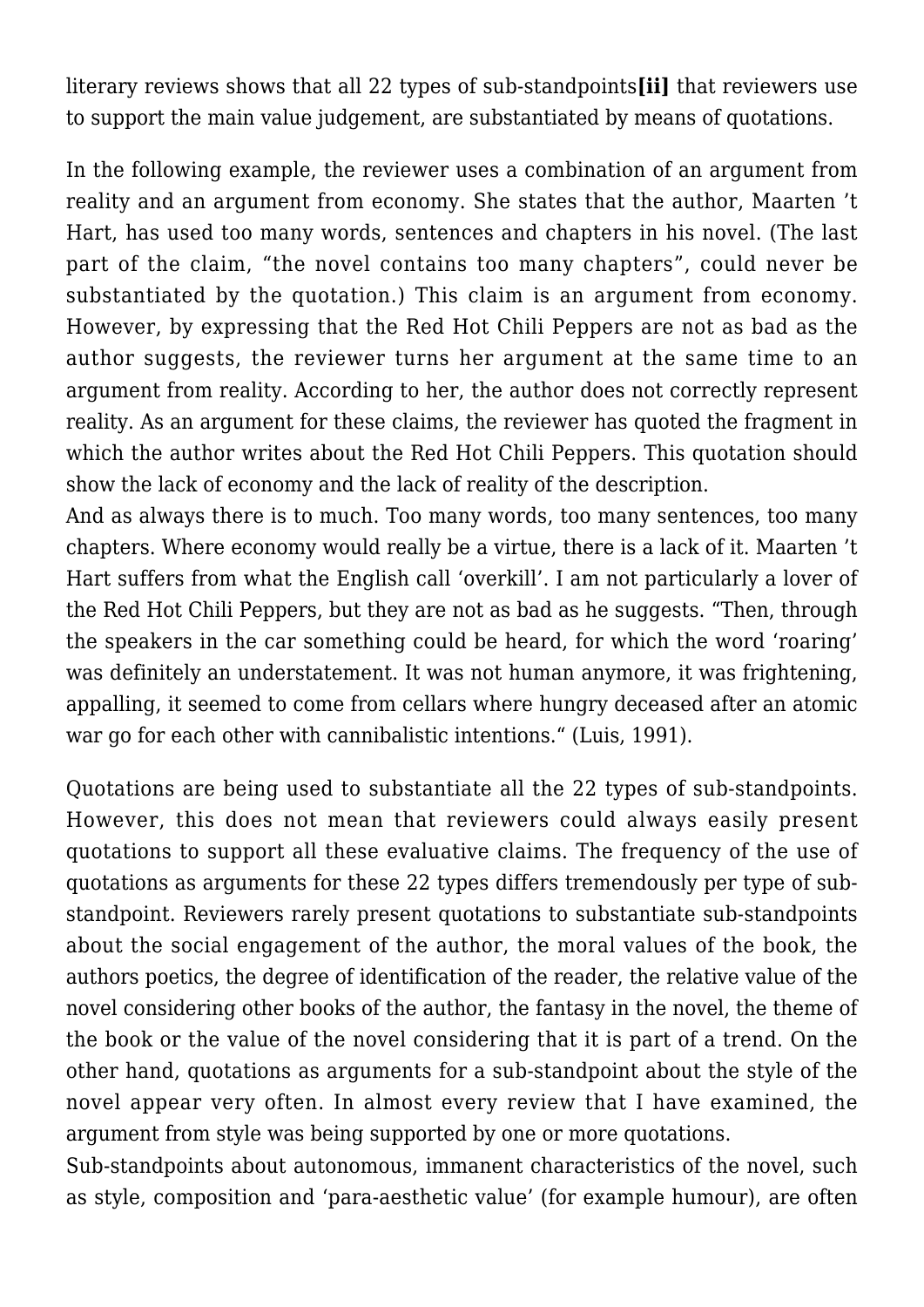literary reviews shows that all 22 types of sub-standpoints**[ii]** that reviewers use to support the main value judgement, are substantiated by means of quotations.

In the following example, the reviewer uses a combination of an argument from reality and an argument from economy. She states that the author, Maarten 't Hart, has used too many words, sentences and chapters in his novel. (The last part of the claim, "the novel contains too many chapters", could never be substantiated by the quotation.) This claim is an argument from economy. However, by expressing that the Red Hot Chili Peppers are not as bad as the author suggests, the reviewer turns her argument at the same time to an argument from reality. According to her, the author does not correctly represent reality. As an argument for these claims, the reviewer has quoted the fragment in which the author writes about the Red Hot Chili Peppers. This quotation should show the lack of economy and the lack of reality of the description.

And as always there is to much. Too many words, too many sentences, too many chapters. Where economy would really be a virtue, there is a lack of it. Maarten 't Hart suffers from what the English call 'overkill'. I am not particularly a lover of the Red Hot Chili Peppers, but they are not as bad as he suggests. "Then, through the speakers in the car something could be heard, for which the word 'roaring' was definitely an understatement. It was not human anymore, it was frightening, appalling, it seemed to come from cellars where hungry deceased after an atomic war go for each other with cannibalistic intentions." (Luis, 1991).

Quotations are being used to substantiate all the 22 types of sub-standpoints. However, this does not mean that reviewers could always easily present quotations to support all these evaluative claims. The frequency of the use of quotations as arguments for these 22 types differs tremendously per type of substandpoint. Reviewers rarely present quotations to substantiate sub-standpoints about the social engagement of the author, the moral values of the book, the authors poetics, the degree of identification of the reader, the relative value of the novel considering other books of the author, the fantasy in the novel, the theme of the book or the value of the novel considering that it is part of a trend. On the other hand, quotations as arguments for a sub-standpoint about the style of the novel appear very often. In almost every review that I have examined, the argument from style was being supported by one or more quotations.

Sub-standpoints about autonomous, immanent characteristics of the novel, such as style, composition and 'para-aesthetic value' (for example humour), are often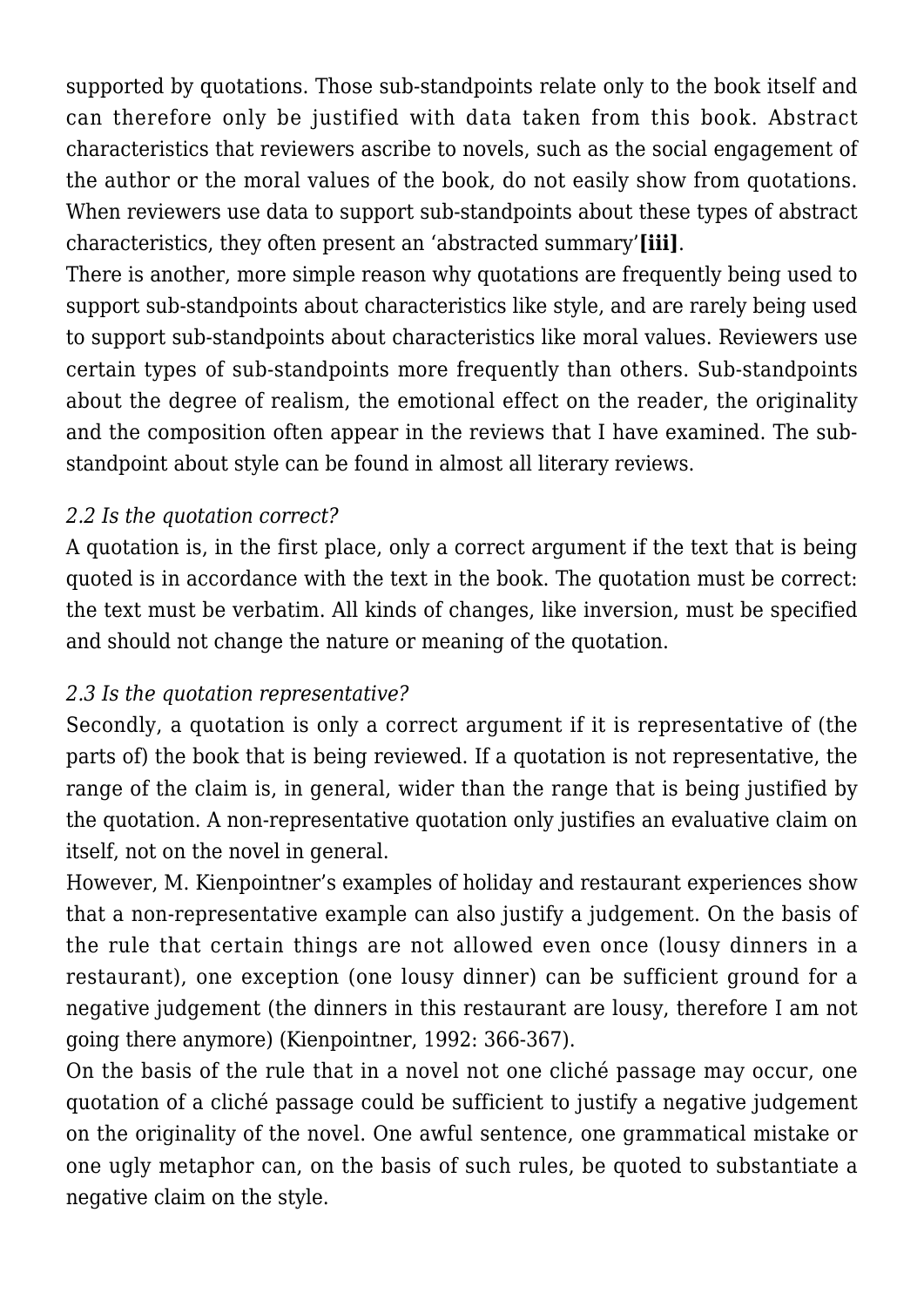supported by quotations. Those sub-standpoints relate only to the book itself and can therefore only be justified with data taken from this book. Abstract characteristics that reviewers ascribe to novels, such as the social engagement of the author or the moral values of the book, do not easily show from quotations. When reviewers use data to support sub-standpoints about these types of abstract characteristics, they often present an 'abstracted summary'**[iii]**.

There is another, more simple reason why quotations are frequently being used to support sub-standpoints about characteristics like style, and are rarely being used to support sub-standpoints about characteristics like moral values. Reviewers use certain types of sub-standpoints more frequently than others. Sub-standpoints about the degree of realism, the emotional effect on the reader, the originality and the composition often appear in the reviews that I have examined. The substandpoint about style can be found in almost all literary reviews.

#### *2.2 Is the quotation correct?*

A quotation is, in the first place, only a correct argument if the text that is being quoted is in accordance with the text in the book. The quotation must be correct: the text must be verbatim. All kinds of changes, like inversion, must be specified and should not change the nature or meaning of the quotation.

# *2.3 Is the quotation representative?*

Secondly, a quotation is only a correct argument if it is representative of (the parts of) the book that is being reviewed. If a quotation is not representative, the range of the claim is, in general, wider than the range that is being justified by the quotation. A non-representative quotation only justifies an evaluative claim on itself, not on the novel in general.

However, M. Kienpointner's examples of holiday and restaurant experiences show that a non-representative example can also justify a judgement. On the basis of the rule that certain things are not allowed even once (lousy dinners in a restaurant), one exception (one lousy dinner) can be sufficient ground for a negative judgement (the dinners in this restaurant are lousy, therefore I am not going there anymore) (Kienpointner, 1992: 366-367).

On the basis of the rule that in a novel not one cliché passage may occur, one quotation of a cliché passage could be sufficient to justify a negative judgement on the originality of the novel. One awful sentence, one grammatical mistake or one ugly metaphor can, on the basis of such rules, be quoted to substantiate a negative claim on the style.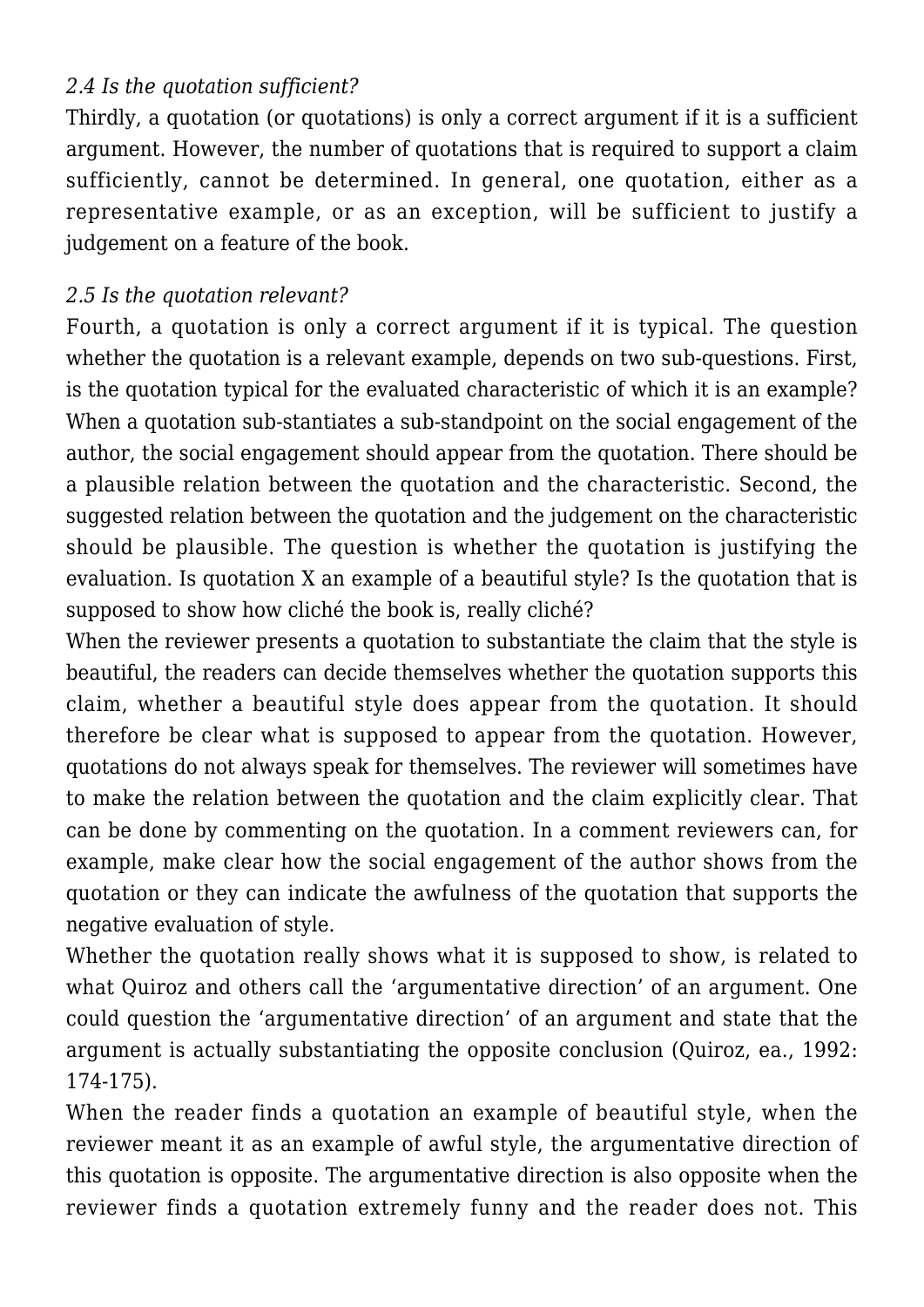#### *2.4 Is the quotation sufficient?*

Thirdly, a quotation (or quotations) is only a correct argument if it is a sufficient argument. However, the number of quotations that is required to support a claim sufficiently, cannot be determined. In general, one quotation, either as a representative example, or as an exception, will be sufficient to justify a judgement on a feature of the book.

#### *2.5 Is the quotation relevant?*

Fourth, a quotation is only a correct argument if it is typical. The question whether the quotation is a relevant example, depends on two sub-questions. First, is the quotation typical for the evaluated characteristic of which it is an example? When a quotation sub-stantiates a sub-standpoint on the social engagement of the author, the social engagement should appear from the quotation. There should be a plausible relation between the quotation and the characteristic. Second, the suggested relation between the quotation and the judgement on the characteristic should be plausible. The question is whether the quotation is justifying the evaluation. Is quotation X an example of a beautiful style? Is the quotation that is supposed to show how cliché the book is, really cliché?

When the reviewer presents a quotation to substantiate the claim that the style is beautiful, the readers can decide themselves whether the quotation supports this claim, whether a beautiful style does appear from the quotation. It should therefore be clear what is supposed to appear from the quotation. However, quotations do not always speak for themselves. The reviewer will sometimes have to make the relation between the quotation and the claim explicitly clear. That can be done by commenting on the quotation. In a comment reviewers can, for example, make clear how the social engagement of the author shows from the quotation or they can indicate the awfulness of the quotation that supports the negative evaluation of style.

Whether the quotation really shows what it is supposed to show, is related to what Quiroz and others call the 'argumentative direction' of an argument. One could question the 'argumentative direction' of an argument and state that the argument is actually substantiating the opposite conclusion (Quiroz, ea., 1992: 174-175).

When the reader finds a quotation an example of beautiful style, when the reviewer meant it as an example of awful style, the argumentative direction of this quotation is opposite. The argumentative direction is also opposite when the reviewer finds a quotation extremely funny and the reader does not. This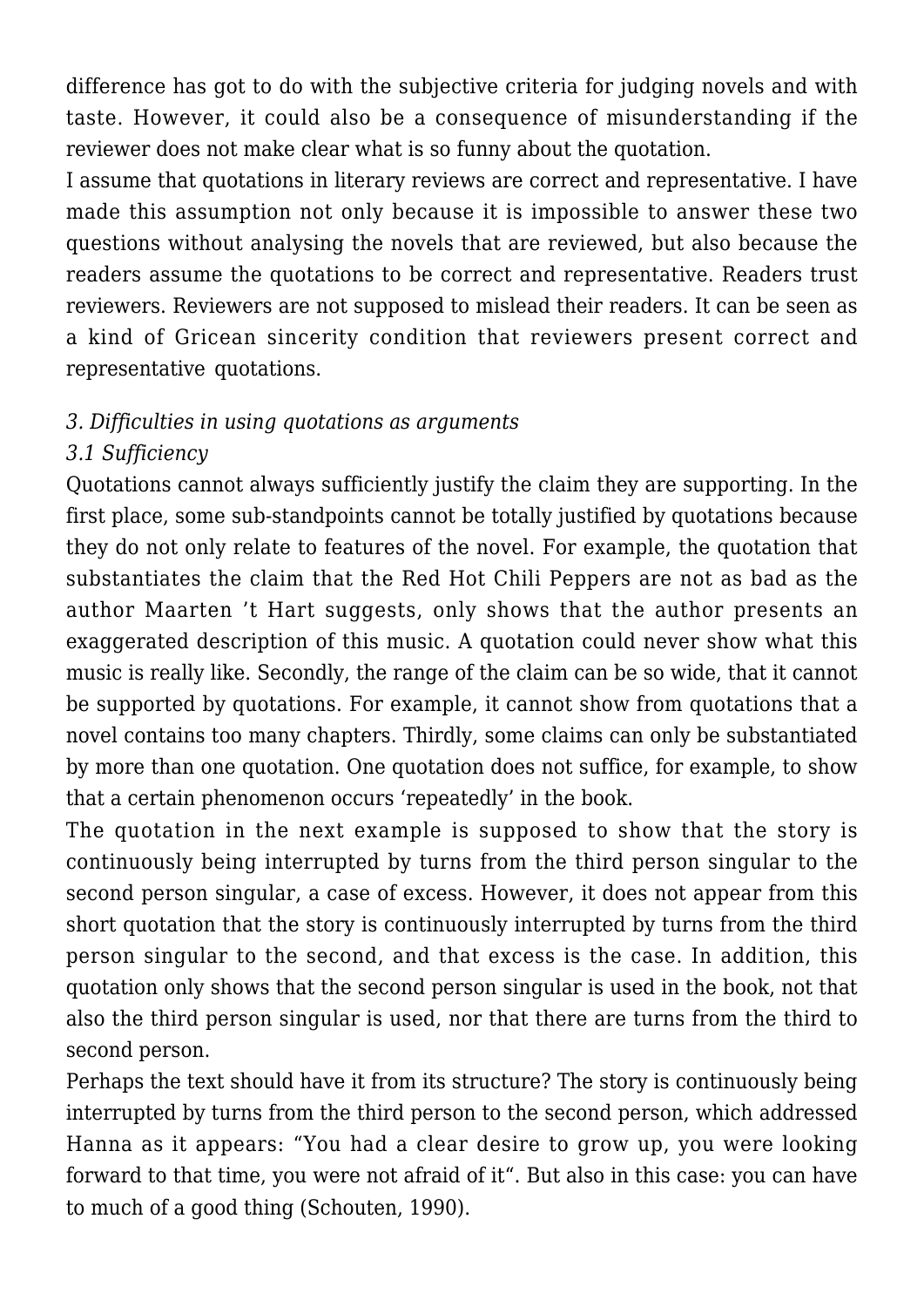difference has got to do with the subjective criteria for judging novels and with taste. However, it could also be a consequence of misunderstanding if the reviewer does not make clear what is so funny about the quotation.

I assume that quotations in literary reviews are correct and representative. I have made this assumption not only because it is impossible to answer these two questions without analysing the novels that are reviewed, but also because the readers assume the quotations to be correct and representative. Readers trust reviewers. Reviewers are not supposed to mislead their readers. It can be seen as a kind of Gricean sincerity condition that reviewers present correct and representative quotations.

#### *3. Difficulties in using quotations as arguments*

# *3.1 Sufficiency*

Quotations cannot always sufficiently justify the claim they are supporting. In the first place, some sub-standpoints cannot be totally justified by quotations because they do not only relate to features of the novel. For example, the quotation that substantiates the claim that the Red Hot Chili Peppers are not as bad as the author Maarten 't Hart suggests, only shows that the author presents an exaggerated description of this music. A quotation could never show what this music is really like. Secondly, the range of the claim can be so wide, that it cannot be supported by quotations. For example, it cannot show from quotations that a novel contains too many chapters. Thirdly, some claims can only be substantiated by more than one quotation. One quotation does not suffice, for example, to show that a certain phenomenon occurs 'repeatedly' in the book.

The quotation in the next example is supposed to show that the story is continuously being interrupted by turns from the third person singular to the second person singular, a case of excess. However, it does not appear from this short quotation that the story is continuously interrupted by turns from the third person singular to the second, and that excess is the case. In addition, this quotation only shows that the second person singular is used in the book, not that also the third person singular is used, nor that there are turns from the third to second person.

Perhaps the text should have it from its structure? The story is continuously being interrupted by turns from the third person to the second person, which addressed Hanna as it appears: "You had a clear desire to grow up, you were looking forward to that time, you were not afraid of it". But also in this case: you can have to much of a good thing (Schouten, 1990).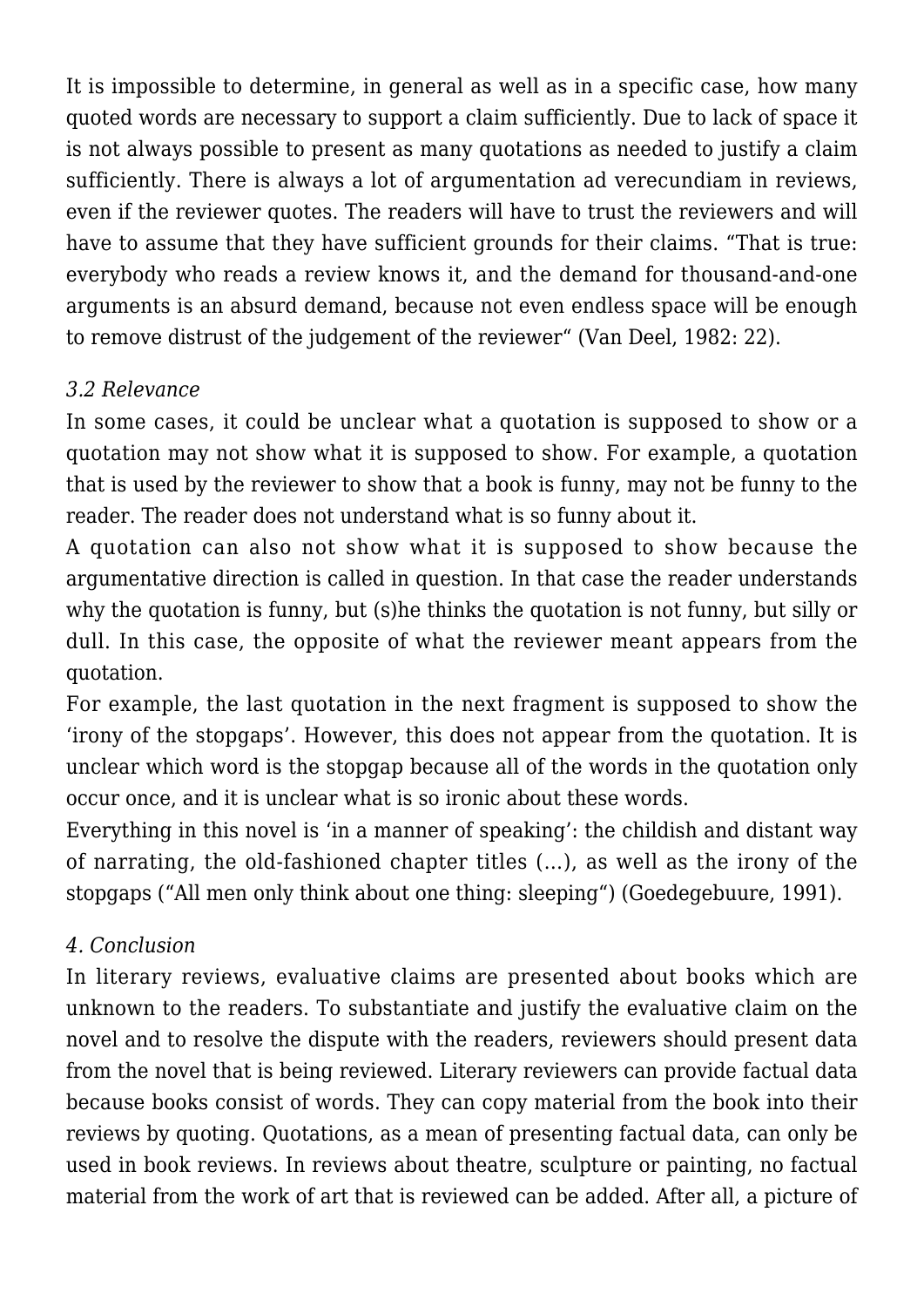It is impossible to determine, in general as well as in a specific case, how many quoted words are necessary to support a claim sufficiently. Due to lack of space it is not always possible to present as many quotations as needed to justify a claim sufficiently. There is always a lot of argumentation ad verecundiam in reviews, even if the reviewer quotes. The readers will have to trust the reviewers and will have to assume that they have sufficient grounds for their claims. "That is true: everybody who reads a review knows it, and the demand for thousand-and-one arguments is an absurd demand, because not even endless space will be enough to remove distrust of the judgement of the reviewer" (Van Deel, 1982: 22).

### *3.2 Relevance*

In some cases, it could be unclear what a quotation is supposed to show or a quotation may not show what it is supposed to show. For example, a quotation that is used by the reviewer to show that a book is funny, may not be funny to the reader. The reader does not understand what is so funny about it.

A quotation can also not show what it is supposed to show because the argumentative direction is called in question. In that case the reader understands why the quotation is funny, but (s)he thinks the quotation is not funny, but silly or dull. In this case, the opposite of what the reviewer meant appears from the quotation.

For example, the last quotation in the next fragment is supposed to show the 'irony of the stopgaps'. However, this does not appear from the quotation. It is unclear which word is the stopgap because all of the words in the quotation only occur once, and it is unclear what is so ironic about these words.

Everything in this novel is 'in a manner of speaking': the childish and distant way of narrating, the old-fashioned chapter titles (…), as well as the irony of the stopgaps ("All men only think about one thing: sleeping") (Goedegebuure, 1991).

#### *4. Conclusion*

In literary reviews, evaluative claims are presented about books which are unknown to the readers. To substantiate and justify the evaluative claim on the novel and to resolve the dispute with the readers, reviewers should present data from the novel that is being reviewed. Literary reviewers can provide factual data because books consist of words. They can copy material from the book into their reviews by quoting. Quotations, as a mean of presenting factual data, can only be used in book reviews. In reviews about theatre, sculpture or painting, no factual material from the work of art that is reviewed can be added. After all, a picture of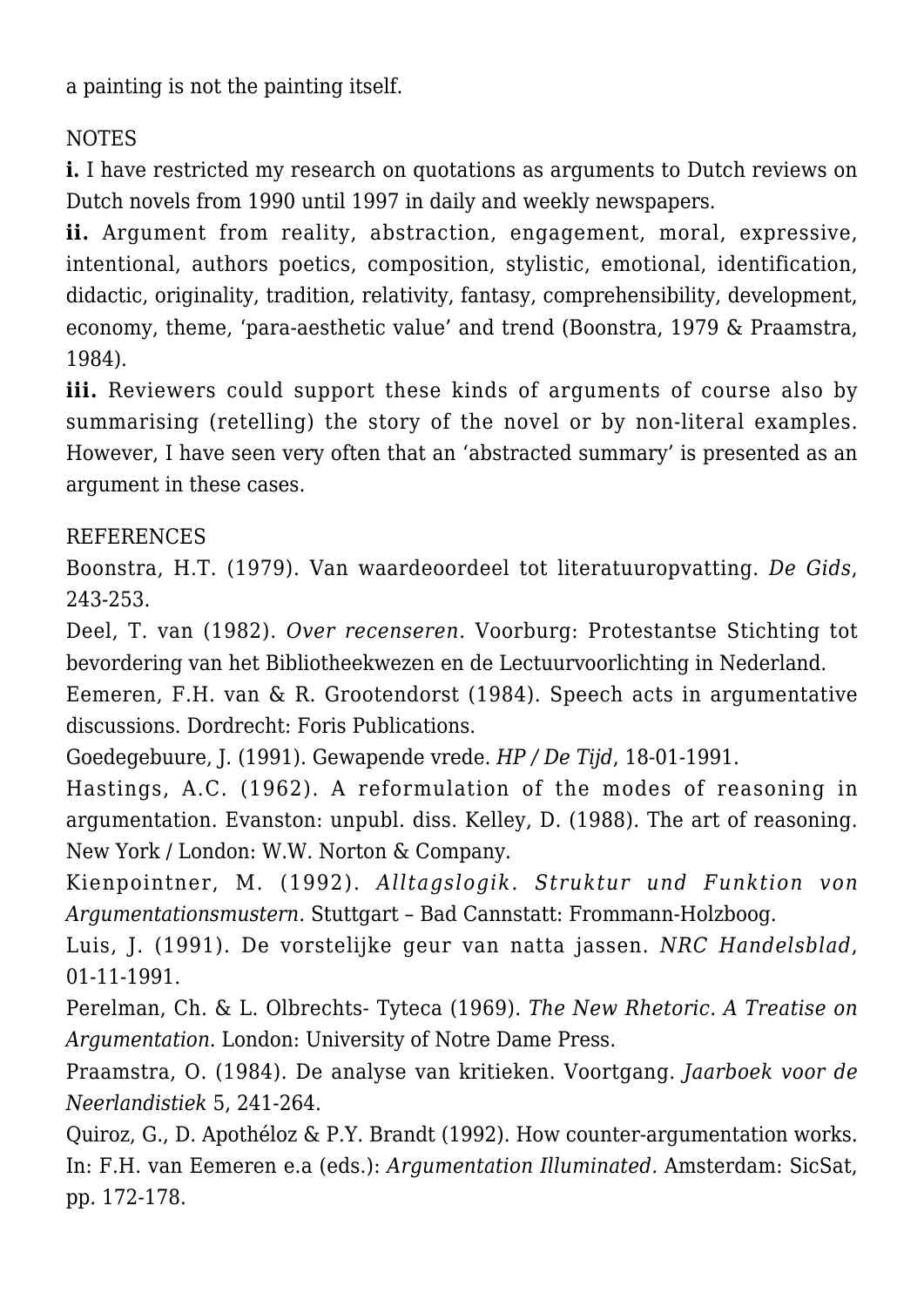a painting is not the painting itself.

# NOTES

**i.** I have restricted my research on quotations as arguments to Dutch reviews on Dutch novels from 1990 until 1997 in daily and weekly newspapers.

ii. Argument from reality, abstraction, engagement, moral, expressive, intentional, authors poetics, composition, stylistic, emotional, identification, didactic, originality, tradition, relativity, fantasy, comprehensibility, development, economy, theme, 'para-aesthetic value' and trend (Boonstra, 1979 & Praamstra, 1984).

**iii.** Reviewers could support these kinds of arguments of course also by summarising (retelling) the story of the novel or by non-literal examples. However, I have seen very often that an 'abstracted summary' is presented as an argument in these cases.

#### REFERENCES

Boonstra, H.T. (1979). Van waardeoordeel tot literatuuropvatting. *De Gids*, 243-253.

Deel, T. van (1982). *Over recenseren*. Voorburg: Protestantse Stichting tot bevordering van het Bibliotheekwezen en de Lectuurvoorlichting in Nederland.

Eemeren, F.H. van & R. Grootendorst (1984). Speech acts in argumentative discussions. Dordrecht: Foris Publications.

Goedegebuure, J. (1991). Gewapende vrede. *HP / De Tijd*, 18-01-1991.

Hastings, A.C. (1962). A reformulation of the modes of reasoning in argumentation. Evanston: unpubl. diss. Kelley, D. (1988). The art of reasoning. New York / London: W.W. Norton & Company.

Kienpointner, M. (1992). *Alltagslogik. Struktur und Funktion von Argumentationsmustern*. Stuttgart – Bad Cannstatt: Frommann-Holzboog.

Luis, J. (1991). De vorstelijke geur van natta jassen. *NRC Handelsblad*, 01-11-1991.

Perelman, Ch. & L. Olbrechts- Tyteca (1969). *The New Rhetoric. A Treatise on Argumentation*. London: University of Notre Dame Press.

Praamstra, O. (1984). De analyse van kritieken. Voortgang. *Jaarboek voor de Neerlandistiek* 5, 241-264.

Quiroz, G., D. Apothéloz & P.Y. Brandt (1992). How counter-argumentation works. In: F.H. van Eemeren e.a (eds.): *Argumentation Illuminated.* Amsterdam: SicSat, pp. 172-178.